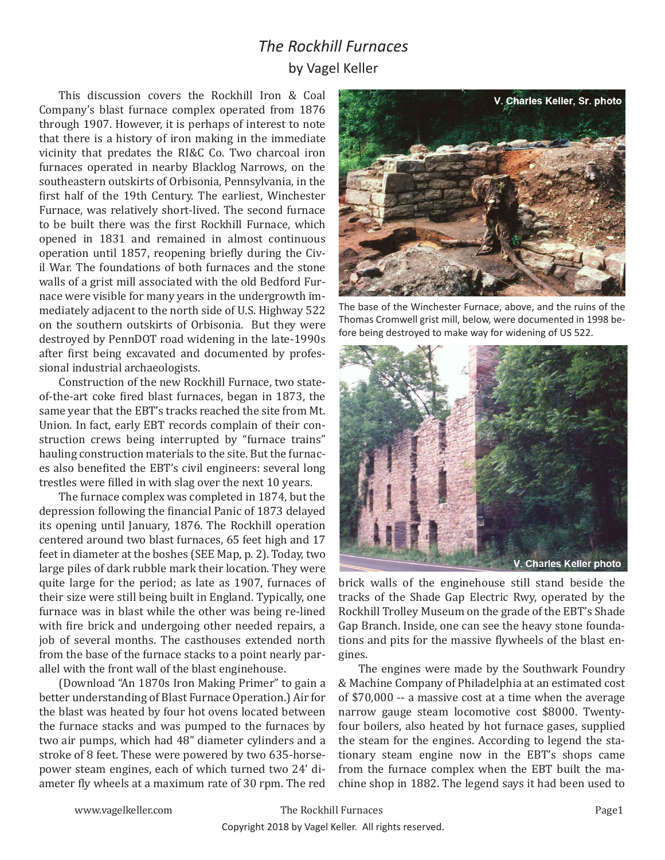## *The Rockhill Furnaces* by Vagel Keller

This discussion covers the Rockhill Iron & Coal Company's blast furnace complex operated from 1876 through 1907. However, it is perhaps of interest to note that there is a history of iron making in the immediate vicinity that predates the RI&C Co. Two charcoal iron furnaces operated in nearby Blacklog Narrows, on the southeastern outskirts of Orbisonia, Pennsylvania, in the first half of the 19th Century. The earliest, Winchester Furnace, was relatively short-lived. The second furnace to be built there was the first Rockhill Furnace, which opened in 1831 and remained in almost continuous operation until 1857, reopening briefly during the Civil War. The foundations of both furnaces and the stone walls of a grist mill associated with the old Bedford Furnace were visible for many years in the undergrowth immediately adjacent to the north side of U.S. Highway 522 on the southern outskirts of Orbisonia. But they were destroyed by PennDOT road widening in the late-1990s after first being excavated and documented by professional industrial archaeologists.

Construction of the new Rockhill Furnace, two stateof-the-art coke fired blast furnaces, began in 1873, the same year that the EBT's tracks reached the site from Mt. Union. In fact, early EBT records complain of their construction crews being interrupted by "furnace trains" hauling construction materials to the site. But the furnaces also benefited the EBT's civil engineers: several long trestles were filled in with slag over the next 10 years.

The furnace complex was completed in 1874, but the depression following the financial Panic of 1873 delayed its opening until January, 1876. The Rockhill operation centered around two blast furnaces, 65 feet high and 17 feet in diameter at the boshes (SEE Map, p. 2). Today, two large piles of dark rubble mark their location. They were quite large for the period; as late as 1907, furnaces of their size were still being built in England. Typically, one furnace was in blast while the other was being re-lined with fire brick and undergoing other needed repairs, a job of several months. The casthouses extended north from the base of the furnace stacks to a point nearly parallel with the front wall of the blast enginehouse.

(Download "An 1870s Iron Making Primer" to gain a better understanding of Blast Furnace Operation.) Air for the blast was heated by four hot ovens located between the furnace stacks and was pumped to the furnaces by two air pumps, which had 48" diameter cylinders and a stroke of 8 feet. These were powered by two 635-horsepower steam engines, each of which turned two 24' diameter fly wheels at a maximum rate of 30 rpm. The red



The base of the Winchester Furnace, above, and the ruins of the Thomas Cromwell grist mill, below, were documented in 1998 before being destroyed to make way for widening of US 522.



brick walls of the enginehouse still stand beside the tracks of the Shade Gap Electric Rwy, operated by the Rockhill Trolley Museum on the grade of the EBT's Shade Gap Branch. Inside, one can see the heavy stone foundations and pits for the massive flywheels of the blast engines.

The engines were made by the Southwark Foundry & Machine Company of Philadelphia at an estimated cost of \$70,000 -- a massive cost at a time when the average narrow gauge steam locomotive cost \$8000. Twentyfour boilers, also heated by hot furnace gases, supplied the steam for the engines. According to legend the stationary steam engine now in the EBT's shops came from the furnace complex when the EBT built the machine shop in 1882. The legend says it had been used to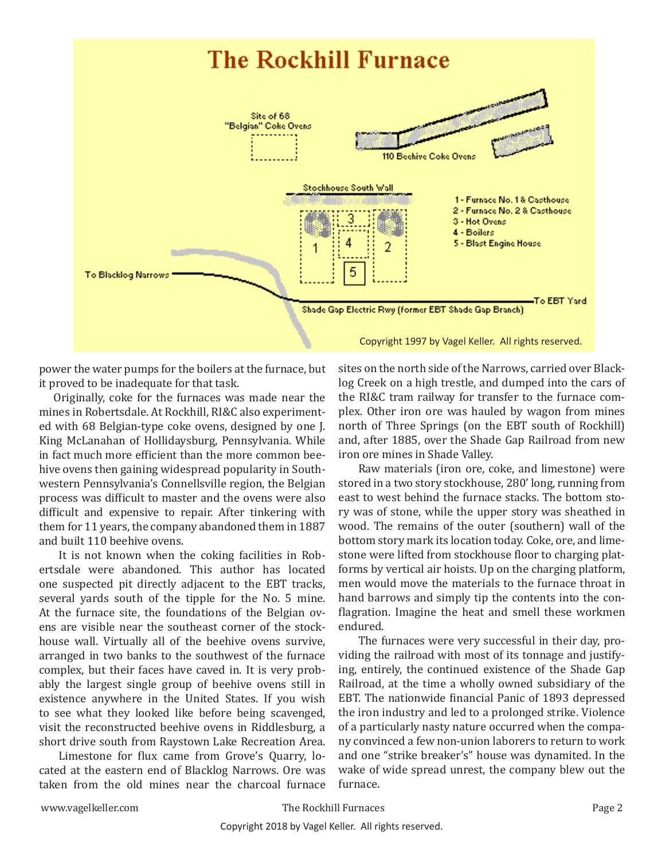

power the water pumps for the boilers at the furnace, but it proved to be inadequate for that task.

Originally, coke for the furnaces was made near the mines in Robertsdale. At Rockhill, RI&C also experimented with 68 Belgian-type coke ovens, designed by one J. King McLanahan of Hollidaysburg, Pennsylvania. While in fact much more efficient than the more common beehive ovens then gaining widespread popularity in Southwestern Pennsylvania's Connellsville region, the Belgian process was difficult to master and the ovens were also difficult and expensive to repair. After tinkering with them for 11 years, the company abandoned them in 1887 and built 110 beehive ovens.

It is not known when the coking facilities in Robertsdale were abandoned. This author has located one suspected pit directly adjacent to the EBT tracks, several yards south of the tipple for the No. 5 mine. At the furnace site, the foundations of the Belgian ovens are visible near the southeast corner of the stockhouse wall. Virtually all of the beehive ovens survive, arranged in two banks to the southwest of the furnace complex, but their faces have caved in. It is very probably the largest single group of beehive ovens still in existence anywhere in the United States. If you wish to see what they looked like before being scavenged, visit the reconstructed beehive ovens in Riddlesburg, a short drive south from Raystown Lake Recreation Area.

Limestone for flux came from Grove's Quarry, located at the eastern end of Blacklog Narrows. Ore was taken from the old mines near the charcoal furnace sites on the north side of the Narrows, carried over Blacklog Creek on a high trestle, and dumped into the cars of the RI&C tram railway for transfer to the furnace complex. Other iron ore was hauled by wagon from mines north of Three Springs (on the EBT south of Rockhill) and, after 1885, over the Shade Gap Railroad from new iron ore mines in Shade Valley.

Raw materials (iron ore, coke, and limestone) were stored in a two story stockhouse, 280' long, running from east to west behind the furnace stacks. The bottom story was of stone, while the upper story was sheathed in wood. The remains of the outer (southern) wall of the bottom story mark its location today. Coke, ore, and limestone were lifted from stockhouse floor to charging platforms by vertical air hoists. Up on the charging platform, men would move the materials to the furnace throat in hand barrows and simply tip the contents into the conflagration. Imagine the heat and smell these workmen endured.

The furnaces were very successful in their day, providing the railroad with most of its tonnage and justifying, entirely, the continued existence of the Shade Gap Railroad, at the time a wholly owned subsidiary of the EBT. The nationwide financial Panic of 1893 depressed the iron industry and led to a prolonged strike. Violence of a particularly nasty nature occurred when the company convinced a few non-union laborers to return to work and one "strike breaker's" house was dynamited. In the wake of wide spread unrest, the company blew out the furnace.